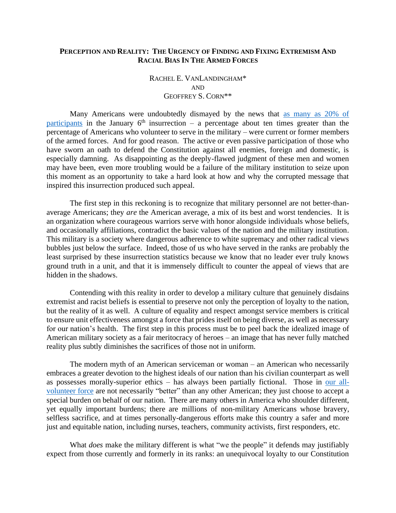## **PERCEPTION AND REALITY: THE URGENCY OF FINDING AND FIXING EXTREMISM AND RACIAL BIAS IN THE ARMED FORCES**

## RACHEL E. VANLANDINGHAM\* AND GEOFFREY S. CORN\*\*

Many Americans were undoubtedly dismayed by the news that [as many as 20% of](https://www.13newsnow.com/article/news/national/military-news/rooting-out-extremism-from-the-military/291-0c25e96d-84bd-44c8-8a5a-1d2fc548605c)  [participants](https://www.13newsnow.com/article/news/national/military-news/rooting-out-extremism-from-the-military/291-0c25e96d-84bd-44c8-8a5a-1d2fc548605c) in the January  $6<sup>th</sup>$  insurrection – a percentage about ten times greater than the percentage of Americans who volunteer to serve in the military – were current or former members of the armed forces. And for good reason. The active or even passive participation of those who have sworn an oath to defend the Constitution against all enemies, foreign and domestic, is especially damning. As disappointing as the deeply-flawed judgment of these men and women may have been, even more troubling would be a failure of the military institution to seize upon this moment as an opportunity to take a hard look at how and why the corrupted message that inspired this insurrection produced such appeal.

The first step in this reckoning is to recognize that military personnel are not better-thanaverage Americans; they *are* the American average, a mix of its best and worst tendencies. It is an organization where courageous warriors serve with honor alongside individuals whose beliefs, and occasionally affiliations, contradict the basic values of the nation and the military institution. This military is a society where dangerous adherence to white supremacy and other radical views bubbles just below the surface. Indeed, those of us who have served in the ranks are probably the least surprised by these insurrection statistics because we know that no leader ever truly knows ground truth in a unit, and that it is immensely difficult to counter the appeal of views that are hidden in the shadows.

Contending with this reality in order to develop a military culture that genuinely disdains extremist and racist beliefs is essential to preserve not only the perception of loyalty to the nation, but the reality of it as well. A culture of equality and respect amongst service members is critical to ensure unit effectiveness amongst a force that prides itself on being diverse, as well as necessary for our nation's health. The first step in this process must be to peel back the idealized image of American military society as a fair meritocracy of heroes – an image that has never fully matched reality plus subtly diminishes the sacrifices of those not in uniform.

The modern myth of an American serviceman or woman – an American who necessarily embraces a greater devotion to the highest ideals of our nation than his civilian counterpart as well as possesses morally-superior ethics – has always been partially fictional. Those in [our all](https://www.defense.gov/Explore/Features/story/Article/2140942/first-peacetime-draft-enacted-just-before-world-war-ii/#:~:text=Among%20the%20notables%20drafted%20after,in%20the%20nation)[volunteer force](https://www.defense.gov/Explore/Features/story/Article/2140942/first-peacetime-draft-enacted-just-before-world-war-ii/#:~:text=Among%20the%20notables%20drafted%20after,in%20the%20nation) are not necessarily "better" than any other American; they just choose to accept a special burden on behalf of our nation. There are many others in America who shoulder different, yet equally important burdens; there are millions of non-military Americans whose bravery, selfless sacrifice, and at times personally-dangerous efforts make this country a safer and more just and equitable nation, including nurses, teachers, community activists, first responders, etc.

What *does* make the military different is what "we the people" it defends may justifiably expect from those currently and formerly in its ranks: an unequivocal loyalty to our Constitution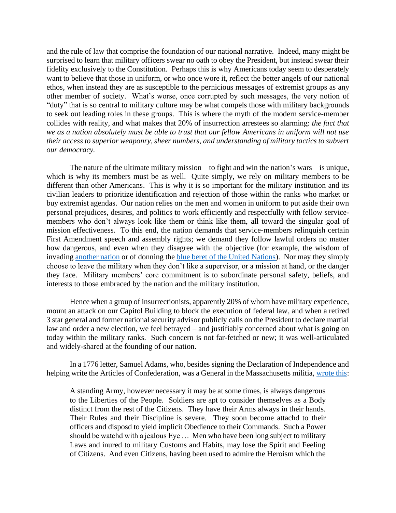and the rule of law that comprise the foundation of our national narrative. Indeed, many might be surprised to learn that military officers swear no oath to obey the President, but instead swear their fidelity exclusively to the Constitution. Perhaps this is why Americans today seem to desperately want to believe that those in uniform, or who once wore it, reflect the better angels of our national ethos, when instead they are as susceptible to the pernicious messages of extremist groups as any other member of society. What's worse, once corrupted by such messages, the very notion of "duty" that is so central to military culture may be what compels those with military backgrounds to seek out leading roles in these groups. This is where the myth of the modern service-member collides with reality, and what makes that 20% of insurrection arrestees so alarming: *the fact that we as a nation absolutely must be able to trust that our fellow Americans in uniform will not use their access to superior weaponry, sheer numbers, and understanding of military tactics to subvert our democracy.*

The nature of the ultimate military mission – to fight and win the nation's wars – is unique, which is why its members must be as well. Quite simply, we rely on military members to be different than other Americans. This is why it is so important for the military institution and its civilian leaders to prioritize identification and rejection of those within the ranks who market or buy extremist agendas. Our nation relies on the men and women in uniform to put aside their own personal prejudices, desires, and politics to work efficiently and respectfully with fellow servicemembers who don't always look like them or think like them, all toward the singular goal of mission effectiveness. To this end, the nation demands that service-members relinquish certain First Amendment speech and assembly rights; we demand they follow lawful orders no matter how dangerous, and even when they disagree with the objective (for example, the wisdom of invading [another nation](https://en.wikipedia.org/wiki/Ehren_Watada) or of donning the [blue beret of the United Nations\)](https://www.nytimes.com/1996/01/25/world/us-convicts-gi-who-refused-to-serve-under-un-in-balkans.html). Nor may they simply choose to leave the military when they don't like a supervisor, or a mission at hand, or the danger they face. Military members' core commitment is to subordinate personal safety, beliefs, and interests to those embraced by the nation and the military institution.

Hence when a group of insurrectionists, apparently 20% of whom have military experience, mount an attack on our Capitol Building to block the execution of federal law, and when a retired 3 star general and former national security advisor publicly calls on the President to declare martial law and order a new election, we feel betrayed – and justifiably concerned about what is going on today within the military ranks. Such concern is not far-fetched or new; it was well-articulated and widely-shared at the founding of our nation.

In a 1776 letter, Samuel Adams, who, besides signing the Declaration of Independence and helping write the Articles of Confederation, was a General in the Massachusetts militia, [wrote](https://billofrightsinstitute.org/founders/samuel-adams?gclid=CjwKCAiAr6-ABhAfEiwADO4sfbcbXTKhYkHF6cb4_08qFJgd_tGKQ6swhzT1bboHzqBXSK3dlGC7bhoCVcEQAvD_BwE) this:

A standing Army, however necessary it may be at some times, is always dangerous to the Liberties of the People. Soldiers are apt to consider themselves as a Body distinct from the rest of the Citizens. They have their Arms always in their hands. Their Rules and their Discipline is severe. They soon become attachd to their officers and disposd to yield implicit Obedience to their Commands. Such a Power should be watchd with a jealous Eye … Men who have been long subject to military Laws and inured to military Customs and Habits, may lose the Spirit and Feeling of Citizens. And even Citizens, having been used to admire the Heroism which the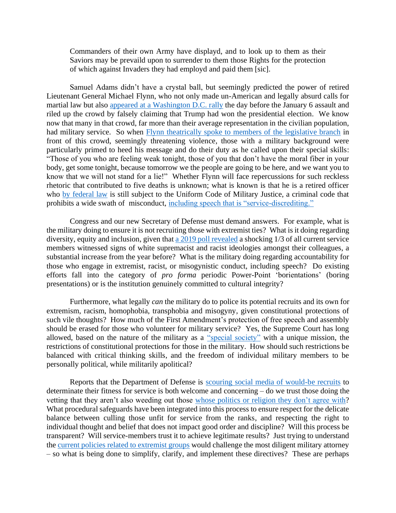Commanders of their own Army have displayd, and to look up to them as their Saviors may be prevaild upon to surrender to them those Rights for the protection of which against Invaders they had employd and paid them [sic].

Samuel Adams didn't have a crystal ball, but seemingly predicted the power of retired Lieutenant General Michael Flynn, who not only made un-American and legally absurd calls for martial law but also appeared at a [Washington D.C. rally](https://www.washingtonpost.com/national-security/flynn-national-guard-call-riot/2021/01/21/943854be-5c36-11eb-aaad-93988621dd28_story.html) the day before the January 6 assault and riled up the crowd by falsely claiming that Trump had won the presidential election. We know now that many in that crowd, far more than their average representation in the civilian population, had military service. So when [Flynn theatrically spoke to members of the legislative branch](https://www.washingtonpost.com/national-security/flynn-national-guard-call-riot/2021/01/21/943854be-5c36-11eb-aaad-93988621dd28_story.html) in front of this crowd, seemingly threatening violence, those with a military background were particularly primed to heed his message and do their duty as he called upon their special skills: "Those of you who are feeling weak tonight, those of you that don't have the moral fiber in your body, get some tonight, because tomorrow we the people are going to be here, and we want you to know that we will not stand for a lie!" Whether Flynn will face repercussions for such reckless rhetoric that contributed to five deaths is unknown; what is known is that he is a retired officer who [by federal law](https://www.law.cornell.edu/uscode/text/10/802) is still subject to the Uniform Code of Military Justice, a criminal code that prohibits a wide swath of misconduct, [including speech that is "service-discrediting."](https://moritzlaw.osu.edu/oslj/80-1/vanlandingham/first-amendment/)

Congress and our new Secretary of Defense must demand answers. For example, what is the military doing to ensure it is not recruiting those with extremist ties? What is it doing regarding diversity, equity and inclusion, given that [a 2019 poll revealed](https://www.militarytimes.com/news/pentagon-congress/2020/02/06/signs-of-white-supremacy-extremism-up-again-in-poll-of-active-duty-troops/) a shocking 1/3 of all current service members witnessed signs of white supremacist and racist ideologies amongst their colleagues, a substantial increase from the year before? What is the military doing regarding accountability for those who engage in extremist, racist, or misogynistic conduct, including speech? Do existing efforts fall into the category of *pro forma* periodic Power-Point 'borientations' (boring presentations) or is the institution genuinely committed to cultural integrity?

Furthermore, what legally *can* the military do to police its potential recruits and its own for extremism, racism, homophobia, transphobia and misogyny, given constitutional protections of such vile thoughts? How much of the First Amendment's protection of free speech and assembly should be erased for those who volunteer for military service? Yes, the Supreme Court has long allowed, based on the nature of the military as a ["special society"](https://supreme.justia.com/cases/federal/us/417/733/) with a unique mission, the restrictions of constitutional protections for those in the military. How should such restrictions be balanced with critical thinking skills, and the freedom of individual military members to be personally political, while militarily apolitical?

Reports that the Department of Defense is [scouring social media of would-be recruits](https://www.defense.gov/Explore/News/Article/Article/2082510/dod-using-multitiered-approach-to-weed-out-extremist-ideologies/) to determinate their fitness for service is both welcome and concerning – do we trust those doing the vetting that they aren't also weeding out those whose politics or religion [they don't agree with?](https://www.brookings.edu/blog/brookings-now/2015/05/06/40-years-ago-church-committee-investigated-americans-spying-on-americans/) What procedural safeguards have been integrated into this process to ensure respect for the delicate balance between culling those unfit for service from the ranks, and respecting the right to individual thought and belief that does not impact good order and discipline? Will this process be transparent? Will service-members trust it to achieve legitimate results? Just trying to understand the [current policies related to extremist groups](https://api.army.mil/e2/c/downloads/399376.pdf) would challenge the most diligent military attorney – so what is being done to simplify, clarify, and implement these directives? These are perhaps